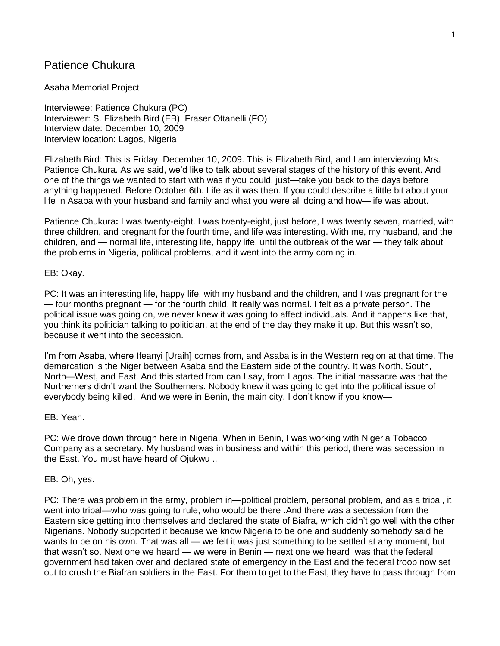# Patience Chukura

### Asaba Memorial Project

Interviewee: Patience Chukura (PC) Interviewer: S. Elizabeth Bird (EB), Fraser Ottanelli (FO) Interview date: December 10, 2009 Interview location: Lagos, Nigeria

Elizabeth Bird: This is Friday, December 10, 2009. This is Elizabeth Bird, and I am interviewing Mrs. Patience Chukura. As we said, we'd like to talk about several stages of the history of this event. And one of the things we wanted to start with was if you could, just—take you back to the days before anything happened. Before October 6th. Life as it was then. If you could describe a little bit about your life in Asaba with your husband and family and what you were all doing and how—life was about.

Patience Chukura**:** I was twenty-eight. I was twenty-eight, just before, I was twenty seven, married, with three children, and pregnant for the fourth time, and life was interesting. With me, my husband, and the children, and — normal life, interesting life, happy life, until the outbreak of the war — they talk about the problems in Nigeria, political problems, and it went into the army coming in.

#### EB: Okay.

PC: It was an interesting life, happy life, with my husband and the children, and I was pregnant for the — four months pregnant — for the fourth child. It really was normal. I felt as a private person. The political issue was going on, we never knew it was going to affect individuals. And it happens like that, you think its politician talking to politician, at the end of the day they make it up. But this wasn't so, because it went into the secession.

I'm from Asaba, where Ifeanyi [Uraih] comes from, and Asaba is in the Western region at that time. The demarcation is the Niger between Asaba and the Eastern side of the country. It was North, South, North—West, and East. And this started from can I say, from Lagos. The initial massacre was that the Northerners didn't want the Southerners. Nobody knew it was going to get into the political issue of everybody being killed. And we were in Benin, the main city, I don't know if you know—

# EB: Yeah.

PC: We drove down through here in Nigeria. When in Benin, I was working with Nigeria Tobacco Company as a secretary. My husband was in business and within this period, there was secession in the East. You must have heard of Ojukwu ..

# EB: Oh, yes.

PC: There was problem in the army, problem in—political problem, personal problem, and as a tribal, it went into tribal—who was going to rule, who would be there .And there was a secession from the Eastern side getting into themselves and declared the state of Biafra, which didn't go well with the other Nigerians. Nobody supported it because we know Nigeria to be one and suddenly somebody said he wants to be on his own. That was all — we felt it was just something to be settled at any moment, but that wasn't so. Next one we heard — we were in Benin — next one we heard was that the federal government had taken over and declared state of emergency in the East and the federal troop now set out to crush the Biafran soldiers in the East. For them to get to the East, they have to pass through from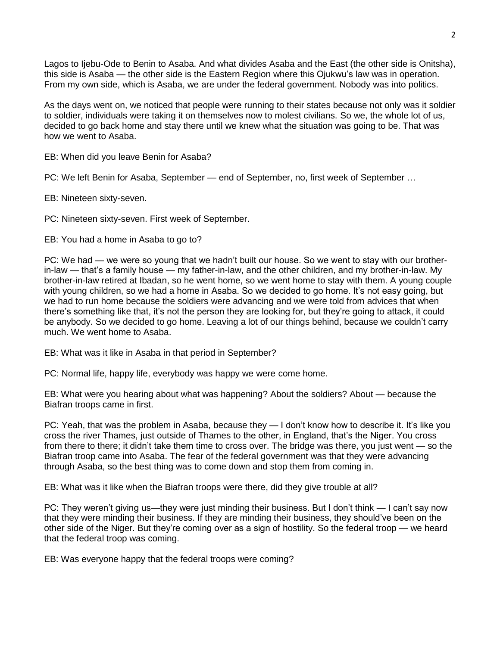Lagos to Ijebu-Ode to Benin to Asaba. And what divides Asaba and the East (the other side is Onitsha), this side is Asaba — the other side is the Eastern Region where this Ojukwu's law was in operation. From my own side, which is Asaba, we are under the federal government. Nobody was into politics.

As the days went on, we noticed that people were running to their states because not only was it soldier to soldier, individuals were taking it on themselves now to molest civilians. So we, the whole lot of us, decided to go back home and stay there until we knew what the situation was going to be. That was how we went to Asaba.

EB: When did you leave Benin for Asaba?

PC: We left Benin for Asaba, September — end of September, no, first week of September …

EB: Nineteen sixty-seven.

PC: Nineteen sixty-seven. First week of September.

EB: You had a home in Asaba to go to?

PC: We had — we were so young that we hadn't built our house. So we went to stay with our brotherin-law — that's a family house — my father-in-law, and the other children, and my brother-in-law. My brother-in-law retired at Ibadan, so he went home, so we went home to stay with them. A young couple with young children, so we had a home in Asaba. So we decided to go home. It's not easy going, but we had to run home because the soldiers were advancing and we were told from advices that when there's something like that, it's not the person they are looking for, but they're going to attack, it could be anybody. So we decided to go home. Leaving a lot of our things behind, because we couldn't carry much. We went home to Asaba.

EB: What was it like in Asaba in that period in September?

PC: Normal life, happy life, everybody was happy we were come home.

EB: What were you hearing about what was happening? About the soldiers? About — because the Biafran troops came in first.

PC: Yeah, that was the problem in Asaba, because they — I don't know how to describe it. It's like you cross the river Thames, just outside of Thames to the other, in England, that's the Niger. You cross from there to there; it didn't take them time to cross over. The bridge was there, you just went — so the Biafran troop came into Asaba. The fear of the federal government was that they were advancing through Asaba, so the best thing was to come down and stop them from coming in.

EB: What was it like when the Biafran troops were there, did they give trouble at all?

PC: They weren't giving us—they were just minding their business. But I don't think — I can't say now that they were minding their business. If they are minding their business, they should've been on the other side of the Niger. But they're coming over as a sign of hostility. So the federal troop — we heard that the federal troop was coming.

EB: Was everyone happy that the federal troops were coming?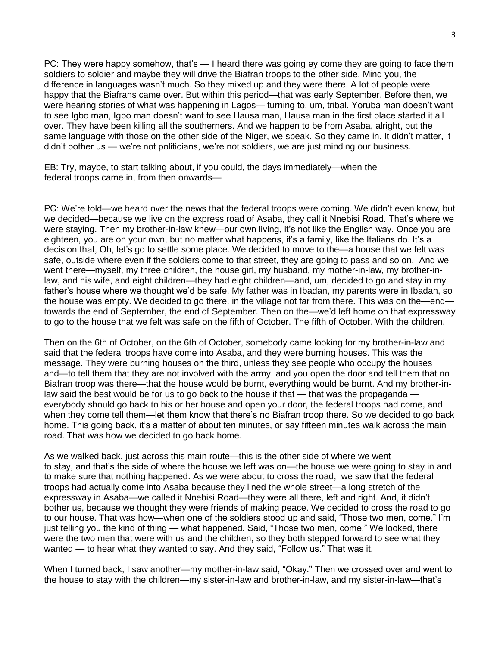PC: They were happy somehow, that's — I heard there was going ey come they are going to face them soldiers to soldier and maybe they will drive the Biafran troops to the other side. Mind you, the difference in languages wasn't much. So they mixed up and they were there. A lot of people were happy that the Biafrans came over. But within this period—that was early September. Before then, we were hearing stories of what was happening in Lagos— turning to, um, tribal. Yoruba man doesn't want to see Igbo man, Igbo man doesn't want to see Hausa man, Hausa man in the first place started it all over. They have been killing all the southerners. And we happen to be from Asaba, alright, but the same language with those on the other side of the Niger, we speak. So they came in. It didn't matter, it didn't bother us — we're not politicians, we're not soldiers, we are just minding our business.

EB: Try, maybe, to start talking about, if you could, the days immediately—when the federal troops came in, from then onwards—

PC: We're told—we heard over the news that the federal troops were coming. We didn't even know, but we decided—because we live on the express road of Asaba, they call it Nnebisi Road. That's where we were staying. Then my brother-in-law knew—our own living, it's not like the English way. Once you are eighteen, you are on your own, but no matter what happens, it's a family, like the Italians do. It's a decision that, Oh, let's go to settle some place. We decided to move to the—a house that we felt was safe, outside where even if the soldiers come to that street, they are going to pass and so on. And we went there—myself, my three children, the house girl, my husband, my mother-in-law, my brother-inlaw, and his wife, and eight children—they had eight children—and, um, decided to go and stay in my father's house where we thought we'd be safe. My father was in Ibadan, my parents were in Ibadan, so the house was empty. We decided to go there, in the village not far from there. This was on the—end towards the end of September, the end of September. Then on the—we'd left home on that expressway to go to the house that we felt was safe on the fifth of October. The fifth of October. With the children.

Then on the 6th of October, on the 6th of October, somebody came looking for my brother-in-law and said that the federal troops have come into Asaba, and they were burning houses. This was the message. They were burning houses on the third, unless they see people who occupy the houses and—to tell them that they are not involved with the army, and you open the door and tell them that no Biafran troop was there—that the house would be burnt, everything would be burnt. And my brother-inlaw said the best would be for us to go back to the house if that — that was the propaganda everybody should go back to his or her house and open your door, the federal troops had come, and when they come tell them—let them know that there's no Biafran troop there. So we decided to go back home. This going back, it's a matter of about ten minutes, or say fifteen minutes walk across the main road. That was how we decided to go back home.

As we walked back, just across this main route—this is the other side of where we went to stay, and that's the side of where the house we left was on—the house we were going to stay in and to make sure that nothing happened. As we were about to cross the road, we saw that the federal troops had actually come into Asaba because they lined the whole street—a long stretch of the expressway in Asaba—we called it Nnebisi Road—they were all there, left and right. And, it didn't bother us, because we thought they were friends of making peace. We decided to cross the road to go to our house. That was how—when one of the soldiers stood up and said, "Those two men, come." I'm just telling you the kind of thing — what happened. Said, "Those two men, come." We looked, there were the two men that were with us and the children, so they both stepped forward to see what they wanted — to hear what they wanted to say. And they said, "Follow us." That was it.

When I turned back, I saw another—my mother-in-law said, "Okay." Then we crossed over and went to the house to stay with the children—my sister-in-law and brother-in-law, and my sister-in-law—that's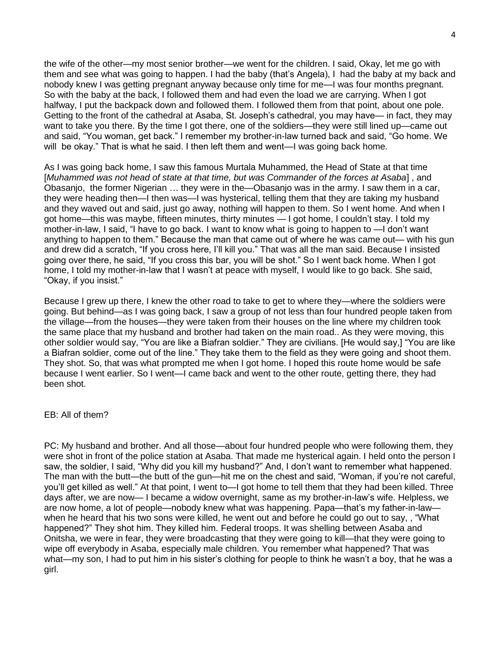the wife of the other—my most senior brother—we went for the children. I said, Okay, let me go with them and see what was going to happen. I had the baby (that's Angela), I had the baby at my back and nobody knew I was getting pregnant anyway because only time for me—I was four months pregnant. So with the baby at the back, I followed them and had even the load we are carrying. When I got halfway, I put the backpack down and followed them. I followed them from that point, about one pole. Getting to the front of the cathedral at Asaba, St. Joseph's cathedral, you may have— in fact, they may want to take you there. By the time I got there, one of the soldiers—they were still lined up—came out and said, "You woman, get back." I remember my brother-in-law turned back and said, "Go home. We will be okay." That is what he said. I then left them and went—I was going back home.

As I was going back home, I saw this famous Murtala Muhammed, the Head of State at that time [*Muhammed was not head of state at that time, but was Commander of the forces at Asaba*] , and Obasanjo, the former Nigerian … they were in the—Obasanjo was in the army. I saw them in a car, they were heading then—I then was—I was hysterical, telling them that they are taking my husband and they waved out and said, just go away, nothing will happen to them. So I went home. And when I got home—this was maybe, fifteen minutes, thirty minutes — I got home, I couldn't stay. I told my mother-in-law, I said, "I have to go back. I want to know what is going to happen to —I don't want anything to happen to them." Because the man that came out of where he was came out— with his gun and drew did a scratch, "If you cross here, I'll kill you." That was all the man said. Because I insisted going over there, he said, "If you cross this bar, you will be shot." So I went back home. When I got home, I told my mother-in-law that I wasn't at peace with myself, I would like to go back. She said, "Okay, if you insist."

Because I grew up there, I knew the other road to take to get to where they—where the soldiers were going. But behind—as I was going back, I saw a group of not less than four hundred people taken from the village—from the houses—they were taken from their houses on the line where my children took the same place that my husband and brother had taken on the main road.. As they were moving, this other soldier would say, "You are like a Biafran soldier." They are civilians. [He would say,] "You are like a Biafran soldier, come out of the line." They take them to the field as they were going and shoot them. They shot. So, that was what prompted me when I got home. I hoped this route home would be safe because I went earlier. So I went—I came back and went to the other route, getting there, they had been shot.

# EB: All of them?

PC: My husband and brother. And all those—about four hundred people who were following them, they were shot in front of the police station at Asaba. That made me hysterical again. I held onto the person I saw, the soldier, I said, "Why did you kill my husband?" And, I don't want to remember what happened. The man with the butt—the butt of the gun—hit me on the chest and said, "Woman, if you're not careful, you'll get killed as well." At that point, I went to—I got home to tell them that they had been killed. Three days after, we are now— I became a widow overnight, same as my brother-in-law's wife. Helpless, we are now home, a lot of people—nobody knew what was happening. Papa—that's my father-in-law when he heard that his two sons were killed, he went out and before he could go out to say, , "What happened?" They shot him. They killed him. Federal troops. It was shelling between Asaba and Onitsha, we were in fear, they were broadcasting that they were going to kill—that they were going to wipe off everybody in Asaba, especially male children. You remember what happened? That was what—my son, I had to put him in his sister's clothing for people to think he wasn't a boy, that he was a girl.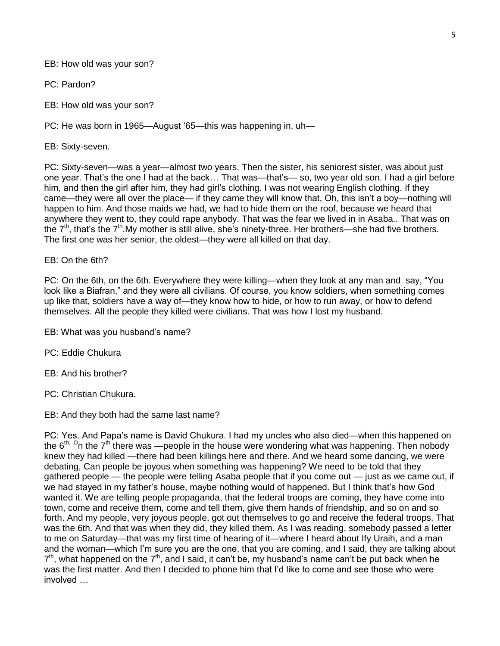EB: How old was your son?

PC: Pardon?

EB: How old was your son?

PC: He was born in 1965—August '65—this was happening in, uh—

EB: Sixty-seven.

PC: Sixty-seven—was a year—almost two years. Then the sister, his seniorest sister, was about just one year. That's the one I had at the back… That was—that's— so, two year old son. I had a girl before him, and then the girl after him, they had girl's clothing. I was not wearing English clothing. If they came—they were all over the place— if they came they will know that, Oh, this isn't a boy—nothing will happen to him. And those maids we had, we had to hide them on the roof, because we heard that anywhere they went to, they could rape anybody. That was the fear we lived in in Asaba.. That was on the  $7<sup>th</sup>$ , that's the  $7<sup>th</sup>$ . My mother is still alive, she's ninety-three. Her brothers—she had five brothers. The first one was her senior, the oldest—they were all killed on that day.

EB: On the 6th?

PC: On the 6th, on the 6th. Everywhere they were killing—when they look at any man and say, "You look like a Biafran," and they were all civilians. Of course, you know soldiers, when something comes up like that, soldiers have a way of—they know how to hide, or how to run away, or how to defend themselves. All the people they killed were civilians. That was how I lost my husband.

EB: What was you husband's name?

PC: Eddie Chukura

EB: And his brother?

PC: Christian Chukura.

EB: And they both had the same last name?

PC: Yes. And Papa's name is David Chukura. I had my uncles who also died—when this happened on the 6<sup>th. O</sup>n the 7<sup>th</sup> there was —people in the house were wondering what was happening. Then nobody knew they had killed —there had been killings here and there. And we heard some dancing, we were debating, Can people be joyous when something was happening? We need to be told that they gathered people — the people were telling Asaba people that if you come out — just as we came out, if we had stayed in my father's house, maybe nothing would of happened. But I think that's how God wanted it. We are telling people propaganda, that the federal troops are coming, they have come into town, come and receive them, come and tell them, give them hands of friendship, and so on and so forth. And my people, very joyous people, got out themselves to go and receive the federal troops. That was the 6th. And that was when they did, they killed them. As I was reading, somebody passed a letter to me on Saturday—that was my first time of hearing of it—where I heard about Ify Uraih, and a man and the woman—which I'm sure you are the one, that you are coming, and I said, they are talking about  $7<sup>th</sup>$ , what happened on the  $7<sup>th</sup>$ , and I said, it can't be, my husband's name can't be put back when he was the first matter. And then I decided to phone him that I'd like to come and see those who were involved …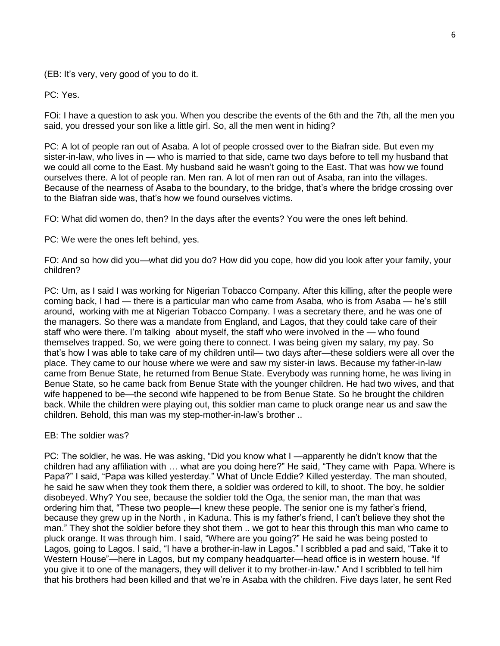(EB: It's very, very good of you to do it.

PC: Yes.

FOi: I have a question to ask you. When you describe the events of the 6th and the 7th, all the men you said, you dressed your son like a little girl. So, all the men went in hiding?

PC: A lot of people ran out of Asaba. A lot of people crossed over to the Biafran side. But even my sister-in-law, who lives in — who is married to that side, came two days before to tell my husband that we could all come to the East. My husband said he wasn't going to the East. That was how we found ourselves there. A lot of people ran. Men ran. A lot of men ran out of Asaba, ran into the villages. Because of the nearness of Asaba to the boundary, to the bridge, that's where the bridge crossing over to the Biafran side was, that's how we found ourselves victims.

FO: What did women do, then? In the days after the events? You were the ones left behind.

PC: We were the ones left behind, yes.

FO: And so how did you—what did you do? How did you cope, how did you look after your family, your children?

PC: Um, as I said I was working for Nigerian Tobacco Company. After this killing, after the people were coming back, I had — there is a particular man who came from Asaba, who is from Asaba — he's still around, working with me at Nigerian Tobacco Company. I was a secretary there, and he was one of the managers. So there was a mandate from England, and Lagos, that they could take care of their staff who were there. I'm talking about myself, the staff who were involved in the — who found themselves trapped. So, we were going there to connect. I was being given my salary, my pay. So that's how I was able to take care of my children until— two days after—these soldiers were all over the place. They came to our house where we were and saw my sister-in laws. Because my father-in-law came from Benue State, he returned from Benue State. Everybody was running home, he was living in Benue State, so he came back from Benue State with the younger children. He had two wives, and that wife happened to be—the second wife happened to be from Benue State. So he brought the children back. While the children were playing out, this soldier man came to pluck orange near us and saw the children. Behold, this man was my step-mother-in-law's brother ..

EB: The soldier was?

PC: The soldier, he was. He was asking, "Did you know what I —apparently he didn't know that the children had any affiliation with … what are you doing here?" He said, "They came with Papa. Where is Papa?" I said, "Papa was killed yesterday." What of Uncle Eddie? Killed yesterday. The man shouted, he said he saw when they took them there, a soldier was ordered to kill, to shoot. The boy, he soldier disobeyed. Why? You see, because the soldier told the Oga, the senior man, the man that was ordering him that, "These two people—I knew these people. The senior one is my father's friend, because they grew up in the North , in Kaduna. This is my father's friend, I can't believe they shot the man." They shot the soldier before they shot them .. we got to hear this through this man who came to pluck orange. It was through him. I said, "Where are you going?" He said he was being posted to Lagos, going to Lagos. I said, "I have a brother-in-law in Lagos." I scribbled a pad and said, "Take it to Western House"—here in Lagos, but my company headquarter—head office is in western house. "If you give it to one of the managers, they will deliver it to my brother-in-law." And I scribbled to tell him that his brothers had been killed and that we're in Asaba with the children. Five days later, he sent Red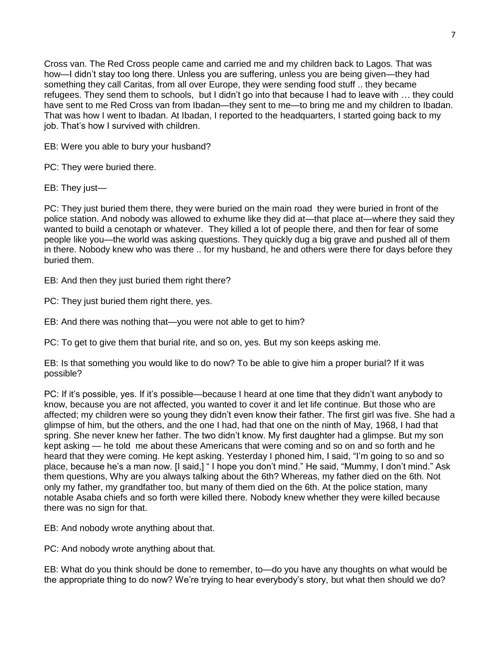Cross van. The Red Cross people came and carried me and my children back to Lagos. That was how—I didn't stay too long there. Unless you are suffering, unless you are being given—they had something they call Caritas, from all over Europe, they were sending food stuff .. they became refugees. They send them to schools, but I didn't go into that because I had to leave with … they could have sent to me Red Cross van from Ibadan—they sent to me—to bring me and my children to Ibadan. That was how I went to Ibadan. At Ibadan, I reported to the headquarters, I started going back to my job. That's how I survived with children.

EB: Were you able to bury your husband?

PC: They were buried there.

EB: They just—

PC: They just buried them there, they were buried on the main road they were buried in front of the police station. And nobody was allowed to exhume like they did at—that place at—where they said they wanted to build a cenotaph or whatever. They killed a lot of people there, and then for fear of some people like you—the world was asking questions. They quickly dug a big grave and pushed all of them in there. Nobody knew who was there .. for my husband, he and others were there for days before they buried them.

EB: And then they just buried them right there?

PC: They just buried them right there, yes.

EB: And there was nothing that—you were not able to get to him?

PC: To get to give them that burial rite, and so on, yes. But my son keeps asking me.

EB: Is that something you would like to do now? To be able to give him a proper burial? If it was possible?

PC: If it's possible, yes. If it's possible—because I heard at one time that they didn't want anybody to know, because you are not affected, you wanted to cover it and let life continue. But those who are affected; my children were so young they didn't even know their father. The first girl was five. She had a glimpse of him, but the others, and the one I had, had that one on the ninth of May, 1968, I had that spring. She never knew her father. The two didn't know. My first daughter had a glimpse. But my son kept asking — he told me about these Americans that were coming and so on and so forth and he heard that they were coming. He kept asking. Yesterday I phoned him, I said, "I'm going to so and so place, because he's a man now. [I said,] " I hope you don't mind." He said, "Mummy, I don't mind." Ask them questions, Why are you always talking about the 6th? Whereas, my father died on the 6th. Not only my father, my grandfather too, but many of them died on the 6th. At the police station, many notable Asaba chiefs and so forth were killed there. Nobody knew whether they were killed because there was no sign for that.

EB: And nobody wrote anything about that.

PC: And nobody wrote anything about that.

EB: What do you think should be done to remember, to—do you have any thoughts on what would be the appropriate thing to do now? We're trying to hear everybody's story, but what then should we do?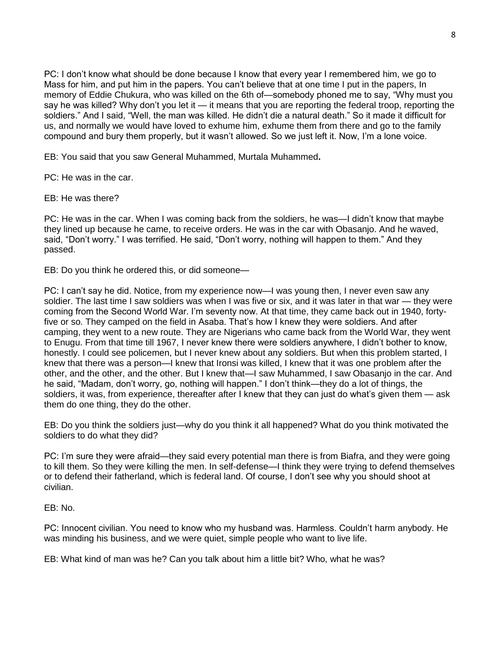PC: I don't know what should be done because I know that every year I remembered him, we go to Mass for him, and put him in the papers. You can't believe that at one time I put in the papers, In memory of Eddie Chukura, who was killed on the 6th of—somebody phoned me to say, "Why must you say he was killed? Why don't you let it — it means that you are reporting the federal troop, reporting the soldiers." And I said, "Well, the man was killed. He didn't die a natural death." So it made it difficult for us, and normally we would have loved to exhume him, exhume them from there and go to the family compound and bury them properly, but it wasn't allowed. So we just left it. Now, I'm a lone voice.

EB: You said that you saw General Muhammed, Murtala Muhammed**.**

PC: He was in the car.

EB: He was there?

PC: He was in the car. When I was coming back from the soldiers, he was—I didn't know that maybe they lined up because he came, to receive orders. He was in the car with Obasanjo. And he waved, said, "Don't worry." I was terrified. He said, "Don't worry, nothing will happen to them." And they passed.

EB: Do you think he ordered this, or did someone—

PC: I can't say he did. Notice, from my experience now—I was young then, I never even saw any soldier. The last time I saw soldiers was when I was five or six, and it was later in that war — they were coming from the Second World War. I'm seventy now. At that time, they came back out in 1940, fortyfive or so. They camped on the field in Asaba. That's how I knew they were soldiers. And after camping, they went to a new route. They are Nigerians who came back from the World War, they went to Enugu. From that time till 1967, I never knew there were soldiers anywhere, I didn't bother to know, honestly. I could see policemen, but I never knew about any soldiers. But when this problem started, I knew that there was a person—I knew that Ironsi was killed, I knew that it was one problem after the other, and the other, and the other. But I knew that—I saw Muhammed, I saw Obasanjo in the car. And he said, "Madam, don't worry, go, nothing will happen." I don't think—they do a lot of things, the soldiers, it was, from experience, thereafter after I knew that they can just do what's given them — ask them do one thing, they do the other.

EB: Do you think the soldiers just—why do you think it all happened? What do you think motivated the soldiers to do what they did?

PC: I'm sure they were afraid—they said every potential man there is from Biafra, and they were going to kill them. So they were killing the men. In self-defense—I think they were trying to defend themselves or to defend their fatherland, which is federal land. Of course, I don't see why you should shoot at civilian.

EB: No.

PC: Innocent civilian. You need to know who my husband was. Harmless. Couldn't harm anybody. He was minding his business, and we were quiet, simple people who want to live life.

EB: What kind of man was he? Can you talk about him a little bit? Who, what he was?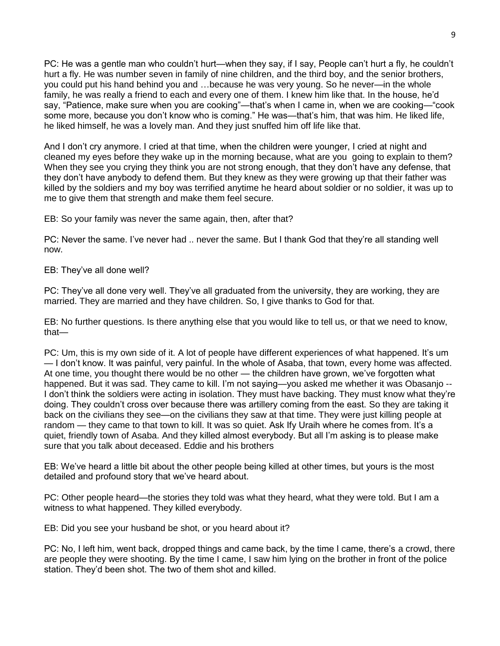PC: He was a gentle man who couldn't hurt—when they say, if I say, People can't hurt a fly, he couldn't hurt a fly. He was number seven in family of nine children, and the third boy, and the senior brothers, you could put his hand behind you and …because he was very young. So he never—in the whole family, he was really a friend to each and every one of them. I knew him like that. In the house, he'd say, "Patience, make sure when you are cooking"—that's when I came in, when we are cooking—"cook some more, because you don't know who is coming." He was—that's him, that was him. He liked life, he liked himself, he was a lovely man. And they just snuffed him off life like that.

And I don't cry anymore. I cried at that time, when the children were younger, I cried at night and cleaned my eyes before they wake up in the morning because, what are you going to explain to them? When they see you crying they think you are not strong enough, that they don't have any defense, that they don't have anybody to defend them. But they knew as they were growing up that their father was killed by the soldiers and my boy was terrified anytime he heard about soldier or no soldier, it was up to me to give them that strength and make them feel secure.

EB: So your family was never the same again, then, after that?

PC: Never the same. I've never had .. never the same. But I thank God that they're all standing well now.

EB: They've all done well?

PC: They've all done very well. They've all graduated from the university, they are working, they are married. They are married and they have children. So, I give thanks to God for that.

EB: No further questions. Is there anything else that you would like to tell us, or that we need to know, that—

PC: Um, this is my own side of it. A lot of people have different experiences of what happened. It's um — I don't know. It was painful, very painful. In the whole of Asaba, that town, every home was affected. At one time, you thought there would be no other — the children have grown, we've forgotten what happened. But it was sad. They came to kill. I'm not saying—you asked me whether it was Obasanjo --I don't think the soldiers were acting in isolation. They must have backing. They must know what they're doing. They couldn't cross over because there was artillery coming from the east. So they are taking it back on the civilians they see—on the civilians they saw at that time. They were just killing people at random — they came to that town to kill. It was so quiet. Ask Ify Uraih where he comes from. It's a quiet, friendly town of Asaba. And they killed almost everybody. But all I'm asking is to please make sure that you talk about deceased. Eddie and his brothers

EB: We've heard a little bit about the other people being killed at other times, but yours is the most detailed and profound story that we've heard about.

PC: Other people heard—the stories they told was what they heard, what they were told. But I am a witness to what happened. They killed everybody.

EB: Did you see your husband be shot, or you heard about it?

PC: No, I left him, went back, dropped things and came back, by the time I came, there's a crowd, there are people they were shooting. By the time I came, I saw him lying on the brother in front of the police station. They'd been shot. The two of them shot and killed.